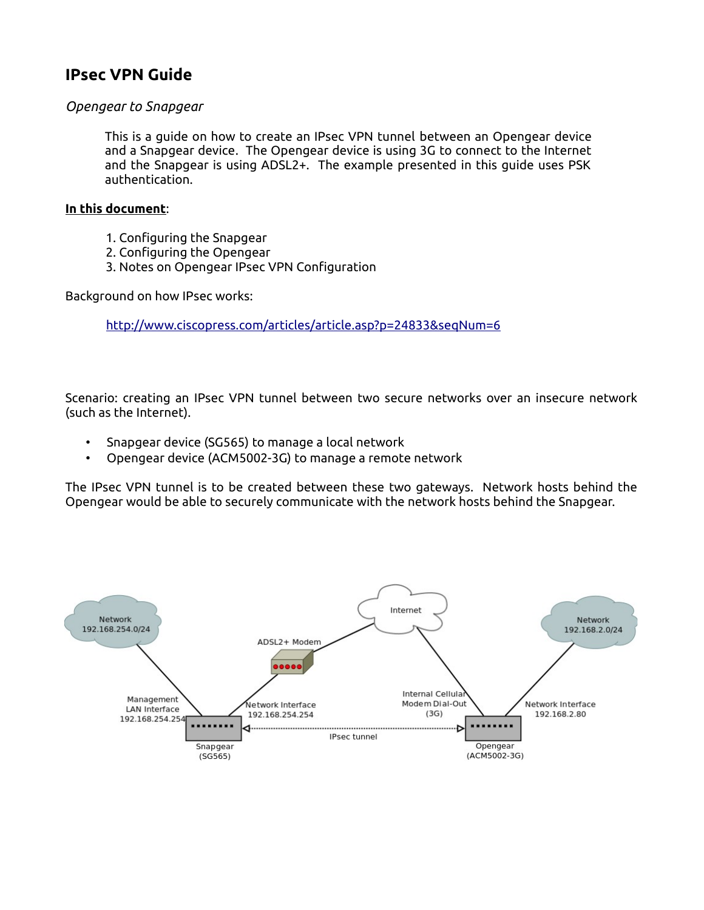# **IPsec VPN Guide**

### *Opengear to Snapgear*

This is a guide on how to create an IPsec VPN tunnel between an Opengear device and a Snapgear device. The Opengear device is using 3G to connect to the Internet and the Snapgear is using ADSL2+. The example presented in this guide uses PSK authentication.

#### **In this document**:

- 1. Configuring the Snapgear
- 2. Configuring the Opengear
- 3. Notes on Opengear IPsec VPN Configuration

Background on how IPsec works:

<http://www.ciscopress.com/articles/article.asp?p=24833&seqNum=6>

Scenario: creating an IPsec VPN tunnel between two secure networks over an insecure network (such as the Internet).

- Snapgear device (SG565) to manage a local network
- Opengear device (ACM5002-3G) to manage a remote network

The IPsec VPN tunnel is to be created between these two gateways. Network hosts behind the Opengear would be able to securely communicate with the network hosts behind the Snapgear.

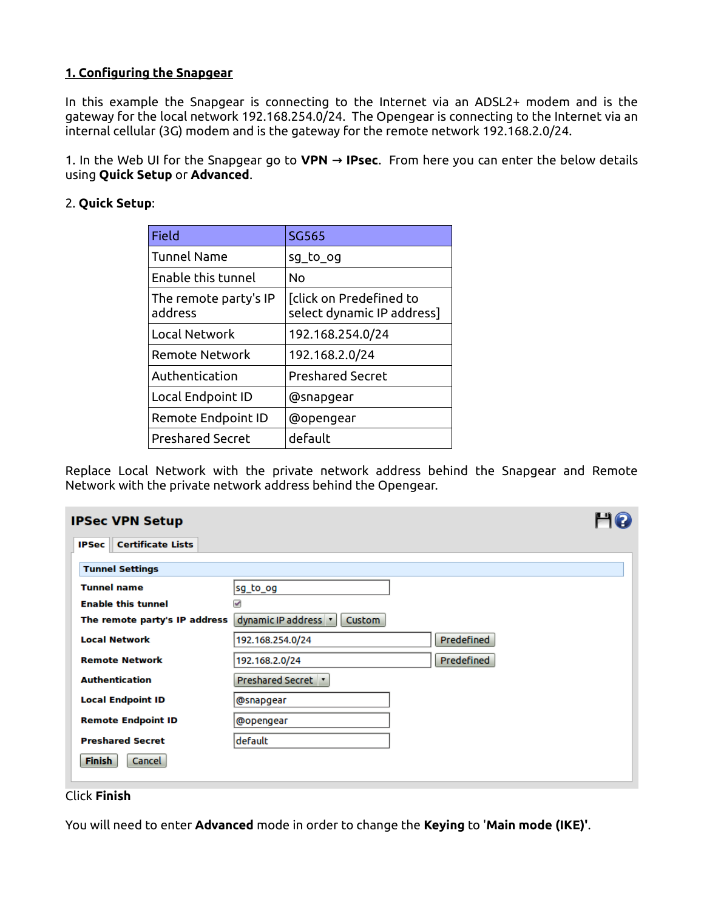### **1. Configuring the Snapgear**

In this example the Snapgear is connecting to the Internet via an ADSL2+ modem and is the gateway for the local network 192.168.254.0/24. The Opengear is connecting to the Internet via an internal cellular (3G) modem and is the gateway for the remote network 192.168.2.0/24.

1. In the Web UI for the Snapgear go to **VPN** → **IPsec**. From here you can enter the below details using **Quick Setup** or **Advanced**.

### 2. **Quick Setup**:

| Field                            | SG565                                                 |
|----------------------------------|-------------------------------------------------------|
| <b>Tunnel Name</b>               | sg to og                                              |
| Enable this tunnel               | No                                                    |
| The remote party's IP<br>address | [click on Predefined to<br>select dynamic IP address] |
| Local Network                    | 192.168.254.0/24                                      |
| Remote Network                   | 192.168.2.0/24                                        |
| Authentication                   | <b>Preshared Secret</b>                               |
| Local Endpoint ID                | @snapgear                                             |
| Remote Endpoint ID               | @opengear                                             |
| <b>Preshared Secret</b>          | default                                               |

Replace Local Network with the private network address behind the Snapgear and Remote Network with the private network address behind the Opengear.

| <b>IPSec VPN Setup</b>                   |                                |            |  |
|------------------------------------------|--------------------------------|------------|--|
| <b>Certificate Lists</b><br><b>IPSec</b> |                                |            |  |
| <b>Tunnel Settings</b>                   |                                |            |  |
| <b>Tunnel name</b>                       | sg_to_og                       |            |  |
| <b>Enable this tunnel</b>                | ✔                              |            |  |
| The remote party's IP address            | dynamic IP address v<br>Custom |            |  |
| <b>Local Network</b>                     | 192.168.254.0/24               | Predefined |  |
| <b>Remote Network</b>                    | 192.168.2.0/24                 | Predefined |  |
| <b>Authentication</b>                    | Preshared Secret <b>v</b>      |            |  |
| <b>Local Endpoint ID</b>                 | @snapgear                      |            |  |
| <b>Remote Endpoint ID</b>                | @opengear                      |            |  |
| <b>Preshared Secret</b>                  | default                        |            |  |
| <b>Finish</b><br>Cancel                  |                                |            |  |

### Click **Finish**

You will need to enter **Advanced** mode in order to change the **Keying** to '**Main mode (IKE)'**.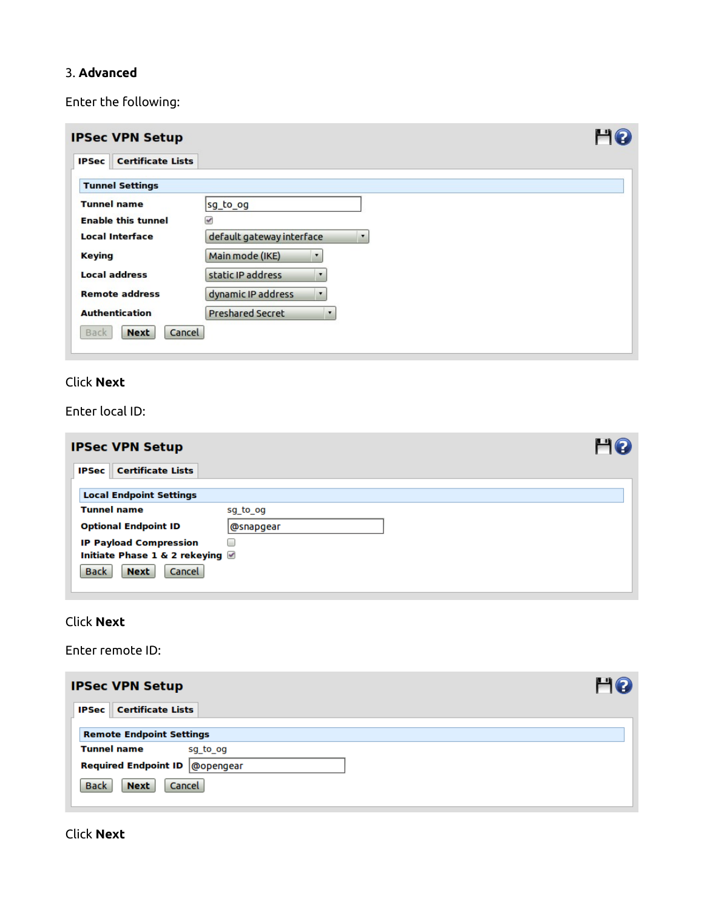## 3. **Advanced**

Enter the following:

| <b>IPSec VPN Setup</b>                   |                                               |  |
|------------------------------------------|-----------------------------------------------|--|
| <b>Certificate Lists</b><br><b>IPSec</b> |                                               |  |
| <b>Tunnel Settings</b>                   |                                               |  |
| <b>Tunnel name</b>                       | sg_to_og                                      |  |
| <b>Enable this tunnel</b>                | $\checkmark$                                  |  |
| <b>Local Interface</b>                   | default gateway interface<br>$\pmb{\cdot}$    |  |
| <b>Keying</b>                            | Main mode (IKE)<br>$\blacktriangledown$       |  |
| <b>Local address</b>                     | static IP address<br>$\pmb{\mathbf{v}}$       |  |
| <b>Remote address</b>                    | dynamic IP address<br>$\pmb{\mathrm{v}}$      |  |
| <b>Authentication</b>                    | <b>Preshared Secret</b><br>$\pmb{\mathbf{v}}$ |  |
| <b>Back</b><br><b>Next</b>               | Cancel                                        |  |
|                                          |                                               |  |

# Click **Next**

Enter local ID:

| <b>IPSec VPN Setup</b>                   |           |  |
|------------------------------------------|-----------|--|
| <b>Certificate Lists</b><br><b>IPSec</b> |           |  |
| <b>Local Endpoint Settings</b>           |           |  |
| <b>Tunnel name</b>                       | sg_to_og  |  |
| <b>Optional Endpoint ID</b>              | @snapgear |  |
| <b>IP Payload Compression</b>            | L         |  |
| Initiate Phase 1 & 2 rekeying ■          |           |  |
| <b>Back</b><br>Cancel<br><b>Next</b>     |           |  |

# Click **Next**

Enter remote ID:

| <b>IPSec VPN Setup</b>                                              | HQ |
|---------------------------------------------------------------------|----|
| <b>IPSec Certificate Lists</b>                                      |    |
| <b>Remote Endpoint Settings</b>                                     |    |
| <b>Tunnel name</b><br>sg to og<br>Required Endpoint ID   @ opengear |    |
| Cancel<br><b>Back</b><br><b>Next</b>                                |    |

## Click **Next**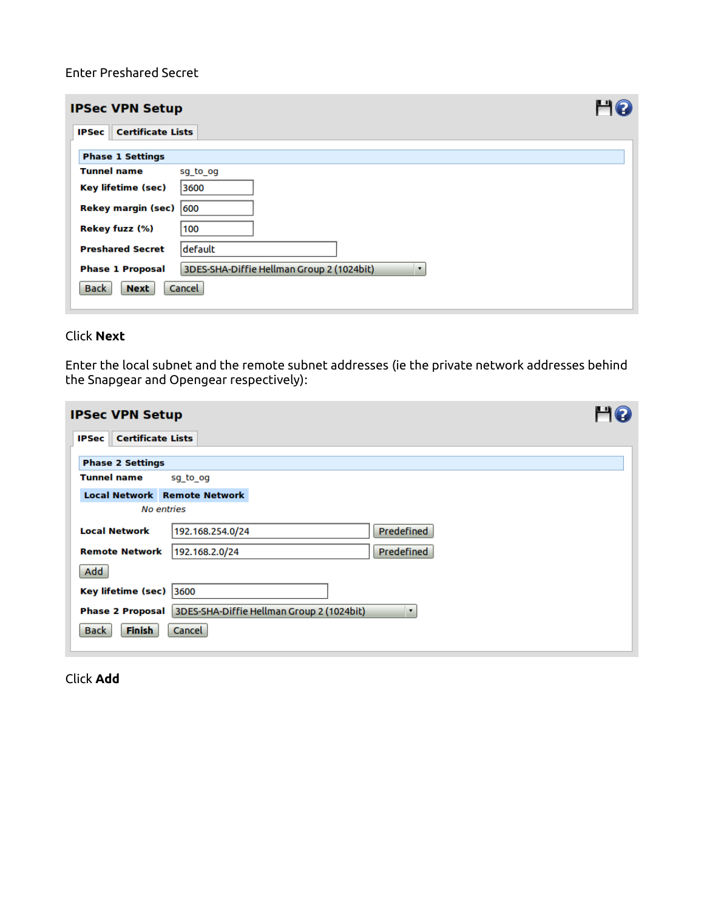Enter Preshared Secret

|                                          | <b>IPSec VPN Setup</b>                                                |  |  |  |  |
|------------------------------------------|-----------------------------------------------------------------------|--|--|--|--|
| <b>Certificate Lists</b><br><b>IPSec</b> |                                                                       |  |  |  |  |
| <b>Phase 1 Settings</b>                  |                                                                       |  |  |  |  |
| <b>Tunnel name</b>                       | sg to og                                                              |  |  |  |  |
| Key lifetime (sec)                       | 3600                                                                  |  |  |  |  |
| Rekey margin (sec) 600                   |                                                                       |  |  |  |  |
| Rekey fuzz (%)                           | 100                                                                   |  |  |  |  |
| <b>Preshared Secret</b>                  | ldefault                                                              |  |  |  |  |
| <b>Phase 1 Proposal</b>                  | 3DES-SHA-Diffie Hellman Group 2 (1024bit)<br>$\overline{\phantom{a}}$ |  |  |  |  |
| <b>Back</b><br><b>Next</b>               | Cancel                                                                |  |  |  |  |

### Click **Next**

Enter the local subnet and the remote subnet addresses (ie the private network addresses behind the Snapgear and Opengear respectively):

| <b>IPSec VPN Setup</b>                   |                                                                                        |  |
|------------------------------------------|----------------------------------------------------------------------------------------|--|
| <b>Certificate Lists</b><br><b>IPSec</b> |                                                                                        |  |
| <b>Phase 2 Settings</b>                  |                                                                                        |  |
| <b>Tunnel name</b>                       | sg_to_og                                                                               |  |
| <b>Local Network Remote Network</b>      |                                                                                        |  |
| <b>No entries</b>                        |                                                                                        |  |
| <b>Local Network</b>                     | Predefined<br>192.168.254.0/24                                                         |  |
| <b>Remote Network</b>                    | Predefined<br>192.168.2.0/24                                                           |  |
| Add                                      |                                                                                        |  |
| Key lifetime (sec) 3600                  |                                                                                        |  |
|                                          | Phase 2 Proposal 3DES-SHA-Diffie Hellman Group 2 (1024bit)<br>$\overline{\phantom{a}}$ |  |
| <b>Finish</b><br><b>Back</b>             | Cancel                                                                                 |  |

Click **Add**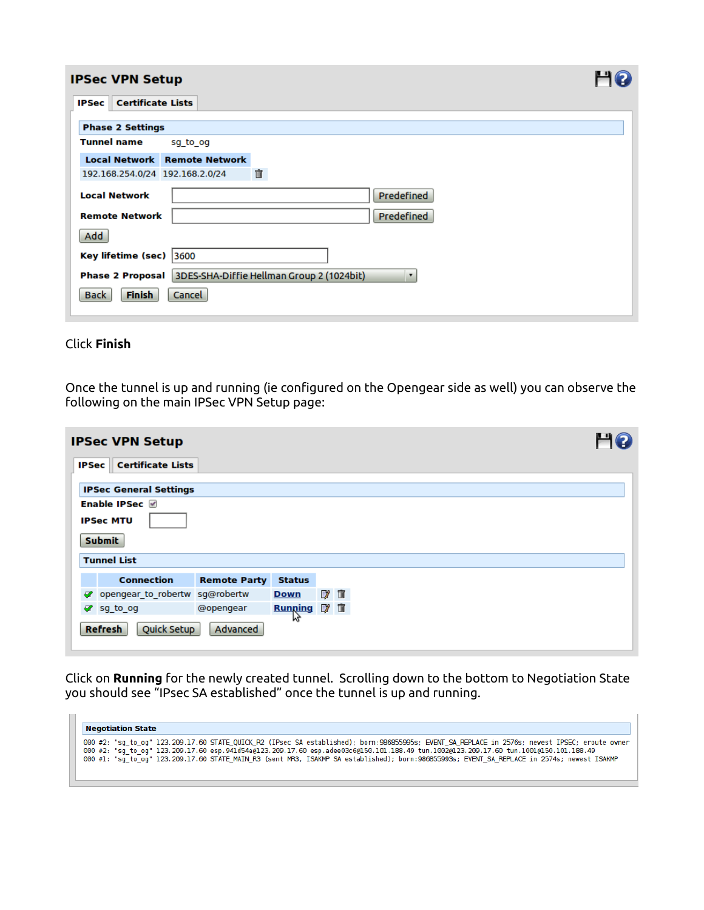| <b>IPSec VPN Setup</b>  |                                     |                                                            |
|-------------------------|-------------------------------------|------------------------------------------------------------|
| <b>IPSec</b>            | <b>Certificate Lists</b>            |                                                            |
| <b>Phase 2 Settings</b> |                                     |                                                            |
| <b>Tunnel name</b>      | sg to og                            |                                                            |
|                         | <b>Local Network Remote Network</b> |                                                            |
|                         | 192.168.254.0/24 192.168.2.0/24     | 宜                                                          |
| <b>Local Network</b>    |                                     | Predefined                                                 |
| <b>Remote Network</b>   |                                     | Predefined                                                 |
| Add                     |                                     |                                                            |
| Key lifetime (sec) 3600 |                                     |                                                            |
|                         |                                     | Phase 2 Proposal 3DES-SHA-Diffie Hellman Group 2 (1024bit) |
| Finish<br><b>Back</b>   | Cancel                              |                                                            |

### Click **Finish**

Once the tunnel is up and running (ie configured on the Opengear side as well) you can observe the following on the main IPSec VPN Setup page:

|                                                 | <b>IPSec VPN Setup</b>         |                     |                |             |  |  |
|-------------------------------------------------|--------------------------------|---------------------|----------------|-------------|--|--|
| <b>IPSec</b>                                    | <b>Certificate Lists</b>       |                     |                |             |  |  |
|                                                 | <b>IPSec General Settings</b>  |                     |                |             |  |  |
|                                                 | Enable IPSec                   |                     |                |             |  |  |
|                                                 | <b>IPSec MTU</b>               |                     |                |             |  |  |
|                                                 | <b>Submit</b>                  |                     |                |             |  |  |
|                                                 | <b>Tunnel List</b>             |                     |                |             |  |  |
|                                                 | <b>Connection</b>              | <b>Remote Party</b> | <b>Status</b>  |             |  |  |
| ᢦ                                               | opengear to robertw sg@robertw |                     | <b>Down</b>    | 7 亩         |  |  |
|                                                 | og sg to og                    | @opengear           | <b>Running</b> | <b>27 亩</b> |  |  |
| <b>AN</b><br>Quick Setup<br>Advanced<br>Refresh |                                |                     |                |             |  |  |

Click on **Running** for the newly created tunnel. Scrolling down to the bottom to Negotiation State you should see "IPsec SA established" once the tunnel is up and running.

| <b>Negotiation State</b>                                                                                                                                                                                                                                                                                                                                                                                                               |
|----------------------------------------------------------------------------------------------------------------------------------------------------------------------------------------------------------------------------------------------------------------------------------------------------------------------------------------------------------------------------------------------------------------------------------------|
| 000 #2: "sq to oq" 123.209.17.60 STATE QUICK R2 (IPsec SA established); born:986855995s; EVENT SA REPLACE in 2576s; newest IPSEC; eroute owner<br>000 #2: "sq to oq" 123.209.17.60 esp.941d54a@123.209.17.60 esp.adee03c6@150.101.188.49 tun.1002@123.209.17.60 tun.1001@150.101.188.49<br>000 #1: "sg to og" 123.209.17.60 STATE MAIN R3 (sent MR3, ISAKMP SA established); born:986855993s; EVENT SA REPLACE in 2574s; newest ISAKMP |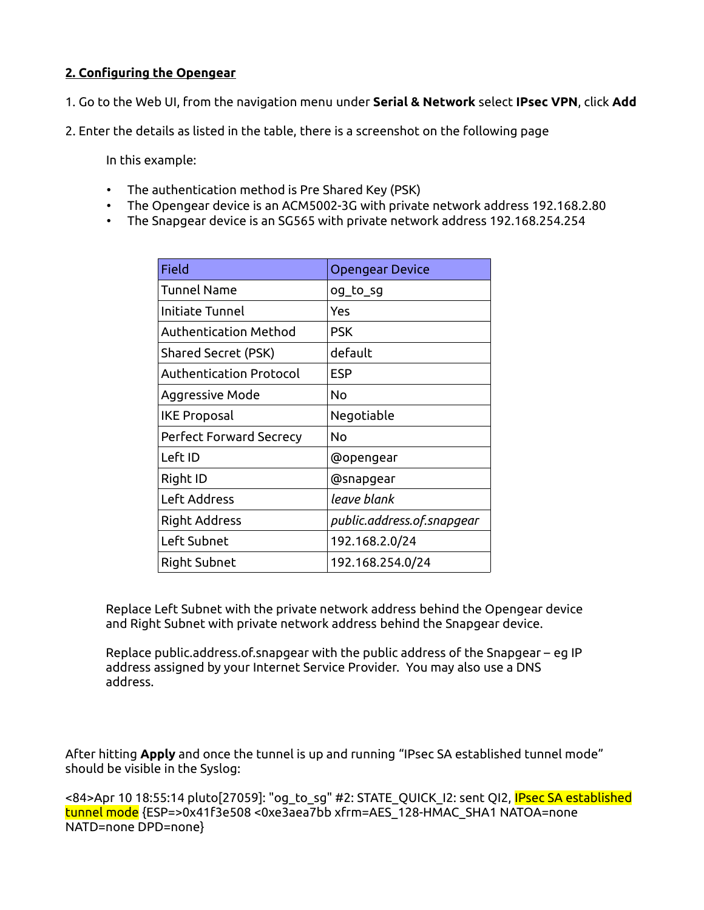# **2. Configuring the Opengear**

- 1. Go to the Web UI, from the navigation menu under **Serial & Network** select **IPsec VPN**, click **Add**
- 2. Enter the details as listed in the table, there is a screenshot on the following page

In this example:

- The authentication method is Pre Shared Key (PSK)
- The Opengear device is an ACM5002-3G with private network address 192.168.2.80
- The Snapgear device is an SG565 with private network address 192.168.254.254

| Field                          | <b>Opengear Device</b>     |
|--------------------------------|----------------------------|
| <b>Tunnel Name</b>             | og_to_sg                   |
| Initiate Tunnel                | Yes                        |
| Authentication Method          | <b>PSK</b>                 |
| <b>Shared Secret (PSK)</b>     | default                    |
| Authentication Protocol        | <b>ESP</b>                 |
| Aggressive Mode                | No                         |
| <b>IKE Proposal</b>            | Negotiable                 |
| <b>Perfect Forward Secrecy</b> | No                         |
| Left ID                        | @opengear                  |
| Right ID                       | @snapgear                  |
| Left Address                   | leave blank                |
| <b>Right Address</b>           | public.address.of.snapgear |
| Left Subnet                    | 192.168.2.0/24             |
| Right Subnet                   | 192.168.254.0/24           |

Replace Left Subnet with the private network address behind the Opengear device and Right Subnet with private network address behind the Snapgear device.

Replace public.address.of.snapgear with the public address of the Snapgear – eg IP address assigned by your Internet Service Provider. You may also use a DNS address.

After hitting **Apply** and once the tunnel is up and running "IPsec SA established tunnel mode" should be visible in the Syslog:

<84>Apr 10 18:55:14 pluto[27059]: "og\_to\_sg" #2: STATE\_QUICK\_I2: sent QI2, <mark>IPsec SA established</mark> tunnel mode {ESP=>0x41f3e508 <0xe3aea7bb xfrm=AES\_128-HMAC\_SHA1 NATOA=none NATD=none DPD=none}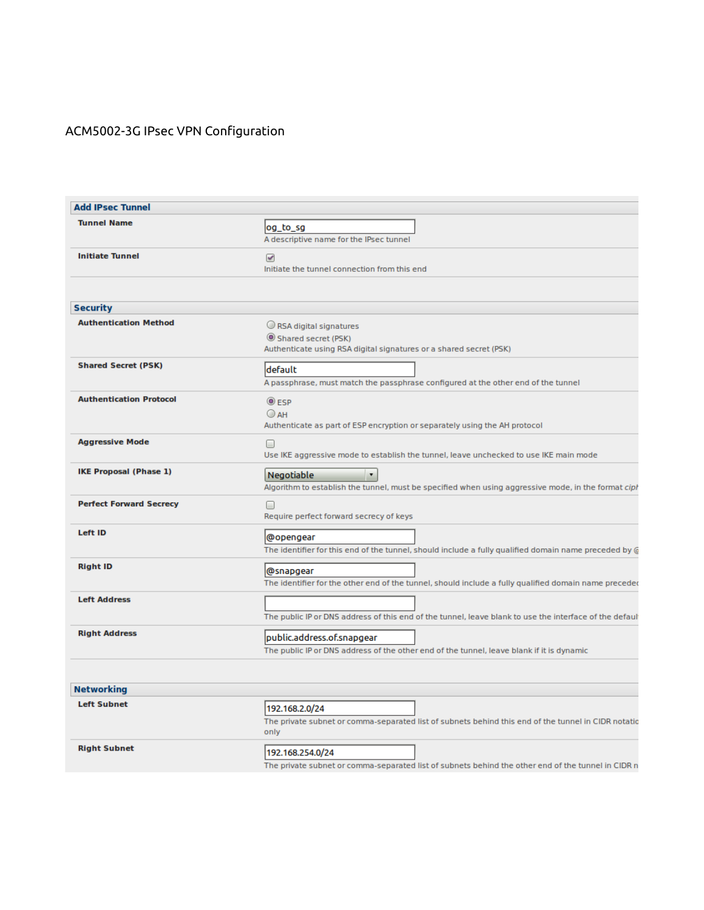# ACM5002-3G IPsec VPN Configuration

| <b>Add IPsec Tunnel</b>        |                                                                                                                                           |  |  |  |
|--------------------------------|-------------------------------------------------------------------------------------------------------------------------------------------|--|--|--|
| <b>Tunnel Name</b>             | log_to_sg<br>A descriptive name for the IPsec tunnel                                                                                      |  |  |  |
| <b>Initiate Tunnel</b>         | $\prec$<br>Initiate the tunnel connection from this end                                                                                   |  |  |  |
| <b>Security</b>                |                                                                                                                                           |  |  |  |
| <b>Authentication Method</b>   | RSA digital signatures<br>Shared secret (PSK)<br>Authenticate using RSA digital signatures or a shared secret (PSK)                       |  |  |  |
| <b>Shared Secret (PSK)</b>     | default<br>A passphrase, must match the passphrase configured at the other end of the tunnel                                              |  |  |  |
| <b>Authentication Protocol</b> | $@$ ESP<br>$O$ AH<br>Authenticate as part of ESP encryption or separately using the AH protocol                                           |  |  |  |
| <b>Aggressive Mode</b>         | □<br>Use IKE aggressive mode to establish the tunnel, leave unchecked to use IKE main mode                                                |  |  |  |
| <b>IKE Proposal (Phase 1)</b>  | Negotiable<br>$\blacktriangledown$<br>Algorithm to establish the tunnel, must be specified when using aggressive mode, in the format ciph |  |  |  |
| <b>Perfect Forward Secrecy</b> | $\Box$<br>Require perfect forward secrecy of keys                                                                                         |  |  |  |
| <b>Left ID</b>                 | @opengear<br>The identifier for this end of the tunnel, should include a fully qualified domain name preceded by @                        |  |  |  |
| <b>Right ID</b>                | @snapgear<br>The identifier for the other end of the tunnel, should include a fully qualified domain name preceded                        |  |  |  |
| <b>Left Address</b>            | The public IP or DNS address of this end of the tunnel, leave blank to use the interface of the default                                   |  |  |  |
| <b>Right Address</b>           | public.address.of.snapgear<br>The public IP or DNS address of the other end of the tunnel, leave blank if it is dynamic                   |  |  |  |
| <b>Networking</b>              |                                                                                                                                           |  |  |  |
| <b>Left Subnet</b>             | 192.168.2.0/24<br>The private subnet or comma-separated list of subnets behind this end of the tunnel in CIDR notatic<br>only             |  |  |  |
| <b>Right Subnet</b>            | 192.168.254.0/24<br>The private subnet or comma-separated list of subnets behind the other end of the tunnel in CIDR n                    |  |  |  |